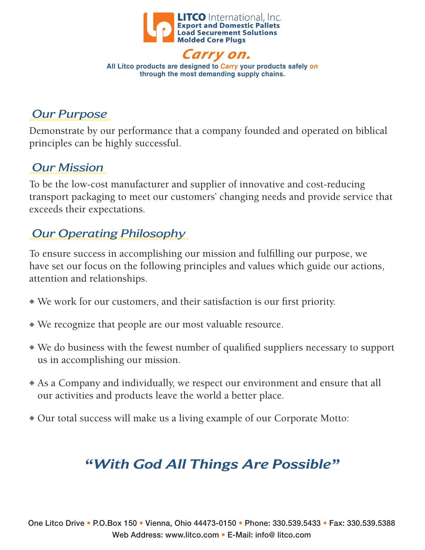

Carry on. **All Litco products are designed to** *Carry* **your products safely** *on* **through the most demanding supply chains.**

# *Our Purpose*

Demonstrate by our performance that a company founded and operated on biblical principles can be highly successful.

## *Our Mission*

To be the low-cost manufacturer and supplier of innovative and cost-reducing transport packaging to meet our customers' changing needs and provide service that exceeds their expectations.

# *Our Operating Philosophy*

To ensure success in accomplishing our mission and fulfilling our purpose, we have set our focus on the following principles and values which guide our actions, attention and relationships.

- $\bullet$  We work for our customers, and their satisfaction is our first priority.
- $\bullet$  We recognize that people are our most valuable resource.
- $\bullet$  We do business with the fewest number of qualified suppliers necessary to support us in accomplishing our mission.
- $\triangle$  As a Company and individually, we respect our environment and ensure that all our activities and products leave the world a better place.
- $\bullet$  Our total success will make us a living example of our Corporate Motto:

# *"With God All Things Are Possible"*